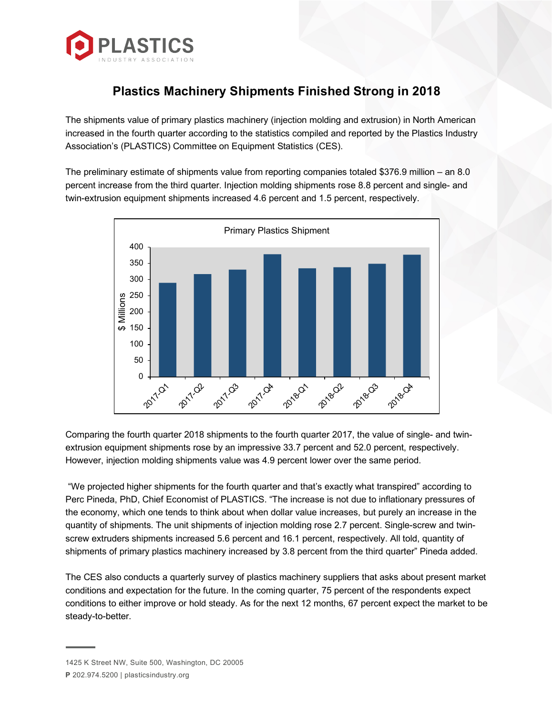

## **Plastics Machinery Shipments Finished Strong in 2018**

The shipments value of primary plastics machinery (injection molding and extrusion) in North American increased in the fourth quarter according to the statistics compiled and reported by the Plastics Industry Association's (PLASTICS) Committee on Equipment Statistics (CES).

The preliminary estimate of shipments value from reporting companies totaled \$376.9 million – an 8.0 percent increase from the third quarter. Injection molding shipments rose 8.8 percent and single- and twin-extrusion equipment shipments increased 4.6 percent and 1.5 percent, respectively.



Comparing the fourth quarter 2018 shipments to the fourth quarter 2017, the value of single- and twinextrusion equipment shipments rose by an impressive 33.7 percent and 52.0 percent, respectively. However, injection molding shipments value was 4.9 percent lower over the same period.

"We projected higher shipments for the fourth quarter and that's exactly what transpired" according to Perc Pineda, PhD, Chief Economist of PLASTICS. "The increase is not due to inflationary pressures of the economy, which one tends to think about when dollar value increases, but purely an increase in the quantity of shipments. The unit shipments of injection molding rose 2.7 percent. Single-screw and twinscrew extruders shipments increased 5.6 percent and 16.1 percent, respectively. All told, quantity of shipments of primary plastics machinery increased by 3.8 percent from the third quarter" Pineda added.

The CES also conducts a quarterly survey of plastics machinery suppliers that asks about present market conditions and expectation for the future. In the coming quarter, 75 percent of the respondents expect conditions to either improve or hold steady. As for the next 12 months, 67 percent expect the market to be steady-to-better.

<sup>1425</sup> K Street NW, Suite 500, Washington, DC 20005 **P** 202.974.5200 | plasticsindustry.org